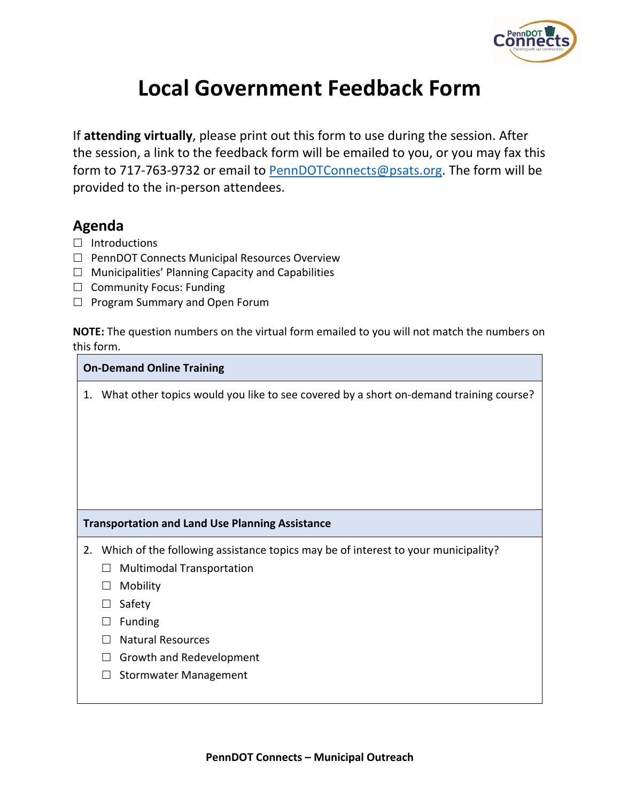

## **Local Government Feedback Form**

If **attending virtually**, please print out this form to use during the session. After the session, a link to the feedback form will be emailed to you, or you may fax this form to 717-763-9732 or email to [PennDOTConnects@psats.org.](mailto:PennDOTConnects@psats.org) The form will be provided to the in-person attendees.

## **Agenda**

- $\Box$  Introductions
- $\Box$  PennDOT Connects Municipal Resources Overview
- $\Box$  Municipalities' Planning Capacity and Capabilities
- $\Box$  Community Focus: Funding
- $\Box$  Program Summary and Open Forum

**NOTE:** The question numbers on the virtual form emailed to you will not match the numbers on this form.

## **On-Demand Online Training**

1. What other topics would you like to see covered by a short on-demand training course?

## **Transportation and Land Use Planning Assistance**

- 2. Which of the following assistance topics may be of interest to your municipality?
	- $\Box$  Multimodal Transportation
	- □ Mobility
	- $\Box$  Safety
	- $\Box$  Funding
	- $\Box$  Natural Resources
	- $\Box$  Growth and Redevelopment
	- $\Box$  Stormwater Management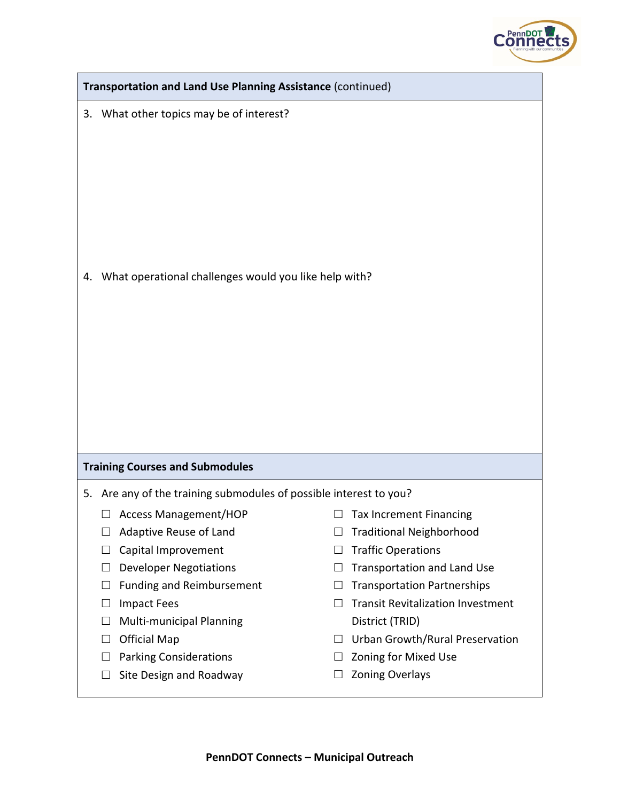

| Transportation and Land Use Planning Assistance (continued)                                                                                                                                                                                                                                                      |                                                                                                                                                                                                                                                                                                                     |  |  |  |
|------------------------------------------------------------------------------------------------------------------------------------------------------------------------------------------------------------------------------------------------------------------------------------------------------------------|---------------------------------------------------------------------------------------------------------------------------------------------------------------------------------------------------------------------------------------------------------------------------------------------------------------------|--|--|--|
| What other topics may be of interest?<br>3.                                                                                                                                                                                                                                                                      |                                                                                                                                                                                                                                                                                                                     |  |  |  |
| What operational challenges would you like help with?<br>4.                                                                                                                                                                                                                                                      |                                                                                                                                                                                                                                                                                                                     |  |  |  |
| <b>Training Courses and Submodules</b>                                                                                                                                                                                                                                                                           |                                                                                                                                                                                                                                                                                                                     |  |  |  |
| 5. Are any of the training submodules of possible interest to you?                                                                                                                                                                                                                                               |                                                                                                                                                                                                                                                                                                                     |  |  |  |
| Adaptive Reuse of Land<br>$\Box$<br>Capital Improvement<br>$\Box$<br><b>Developer Negotiations</b><br>$\Box$<br><b>Funding and Reimbursement</b><br>$\Box$<br><b>Impact Fees</b><br>ப<br>Multi-municipal Planning<br>$\Box$<br><b>Official Map</b><br>$\Box$<br><b>Parking Considerations</b><br>$\vert \ \vert$ | <b>Traditional Neighborhood</b><br>$\Box$<br><b>Traffic Operations</b><br>⊔<br>Transportation and Land Use<br>$\vert \ \ \vert$<br><b>Transportation Partnerships</b><br>$\Box$<br><b>Transit Revitalization Investment</b><br>District (TRID)<br>Urban Growth/Rural Preservation<br>Zoning for Mixed Use<br>$\Box$ |  |  |  |
| Site Design and Roadway<br>$\Box$                                                                                                                                                                                                                                                                                | <b>Zoning Overlays</b><br>⊔                                                                                                                                                                                                                                                                                         |  |  |  |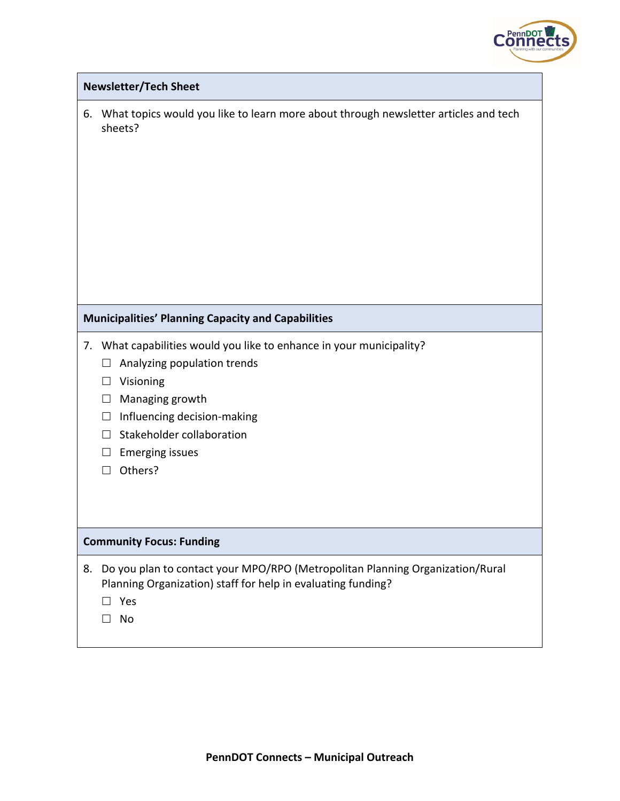

| <b>Newsletter/Tech Sheet</b>                                                                                                                                                                                                                                                               |
|--------------------------------------------------------------------------------------------------------------------------------------------------------------------------------------------------------------------------------------------------------------------------------------------|
| What topics would you like to learn more about through newsletter articles and tech<br>6.<br>sheets?                                                                                                                                                                                       |
| <b>Municipalities' Planning Capacity and Capabilities</b>                                                                                                                                                                                                                                  |
| What capabilities would you like to enhance in your municipality?<br>7.<br>Analyzing population trends<br>ш<br>Visioning<br>⊔<br>Managing growth<br>⊔<br>Influencing decision-making<br>$\Box$<br>Stakeholder collaboration<br>$\vert \ \ \vert$<br><b>Emerging issues</b><br>ப<br>Others? |
| <b>Community Focus: Funding</b>                                                                                                                                                                                                                                                            |
| Do you plan to contact your MPO/RPO (Metropolitan Planning Organization/Rural<br>8.<br>Planning Organization) staff for help in evaluating funding?<br>Yes<br>No                                                                                                                           |